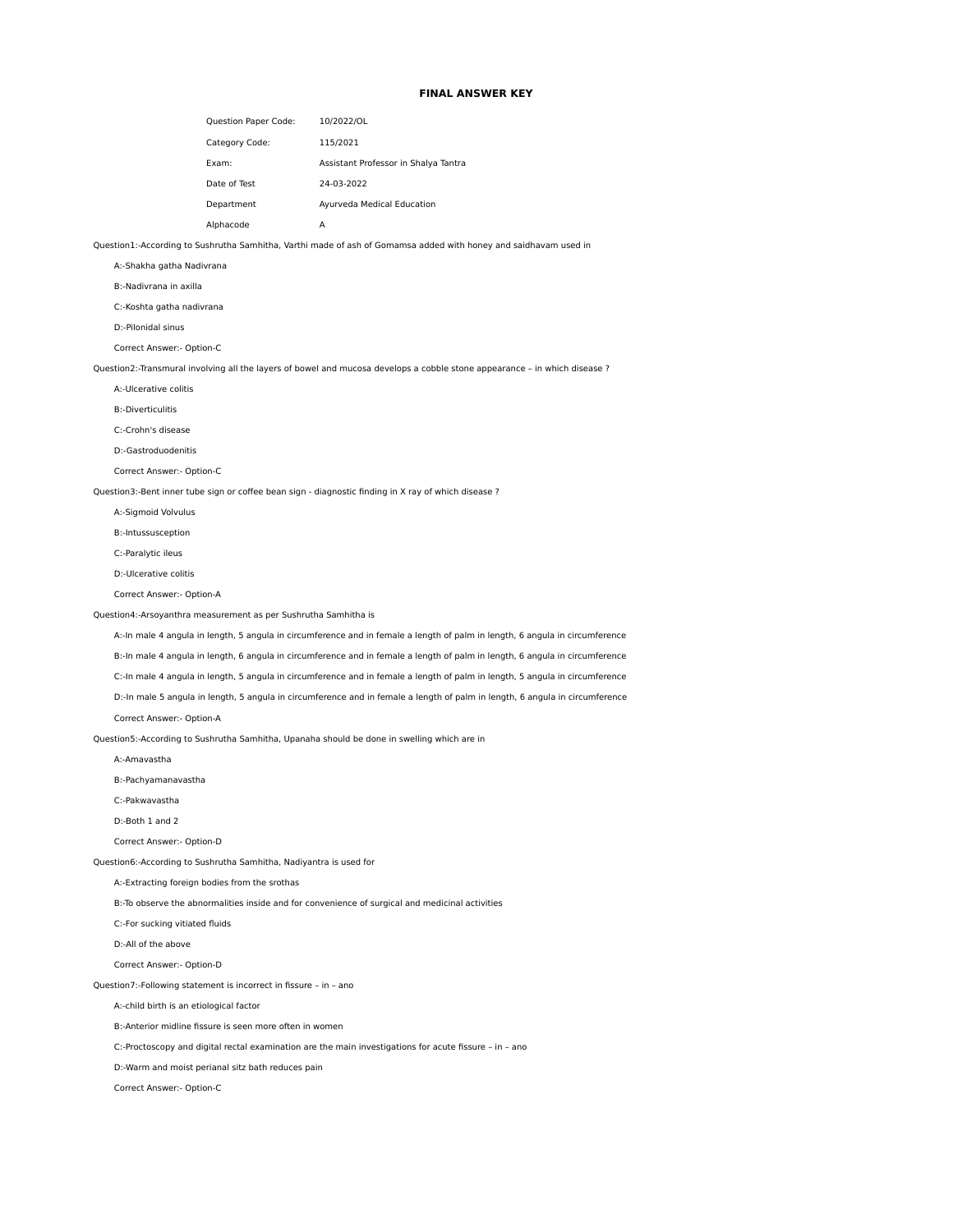## **FINAL ANSWER KEY**

| <b>Question Paper Code:</b> | 10/2022/OL                           |
|-----------------------------|--------------------------------------|
| Category Code:              | 115/2021                             |
| Fxam:                       | Assistant Professor in Shalya Tantra |
| Date of Test                | 24-03-2022                           |
| Department                  | Ayurveda Medical Education           |
| Alphacode                   | А                                    |

Question1:-According to Sushrutha Samhitha, Varthi made of ash of Gomamsa added with honey and saidhavam used in

A:-Shakha gatha Nadivrana

B:-Nadivrana in axilla

C:-Koshta gatha nadivrana

D:-Pilonidal sinus

Correct Answer:- Option-C

Question2:-Transmural involving all the layers of bowel and mucosa develops a cobble stone appearance - in which disease ?

A:-Ulcerative colitis

B:-Diverticulitis

C:-Crohn's disease

D:-Gastroduodenitis

Correct Answer:- Option-C

Question3:-Bent inner tube sign or coffee bean sign - diagnostic finding in X ray of which disease ?

A:-Sigmoid Volvulus

B:-Intussusception

C:-Paralytic ileus

D:-Ulcerative colitis

Correct Answer:- Option-A

Question4:-Arsoyanthra measurement as per Sushrutha Samhitha is

 A:-In male 4 angula in length, 5 angula in circumference and in female a length of palm in length, 6 angula in circumference B:-In male 4 angula in length, 6 angula in circumference and in female a length of palm in length, 6 angula in circumference C:-In male 4 angula in length, 5 angula in circumference and in female a length of palm in length, 5 angula in circumference D:-In male 5 angula in length, 5 angula in circumference and in female a length of palm in length, 6 angula in circumference

Correct Answer:- Option-A

Question5:-According to Sushrutha Samhitha, Upanaha should be done in swelling which are in

A:-Amavastha

B:-Pachyamanavastha

C:-Pakwavastha

D:-Both 1 and 2

Correct Answer:- Option-D

Question6:-According to Sushrutha Samhitha, Nadiyantra is used for

A:-Extracting foreign bodies from the srothas

B:-To observe the abnormalities inside and for convenience of surgical and medicinal activities

C:-For sucking vitiated fluids

D:-All of the above

Correct Answer:- Option-D

Question7:-Following statement is incorrect in fissure – in – ano

A:-child birth is an etiological factor

B:-Anterior midline fissure is seen more often in women

C:-Proctoscopy and digital rectal examination are the main investigations for acute fissure – in – ano

D:-Warm and moist perianal sitz bath reduces pain

Correct Answer:- Option-C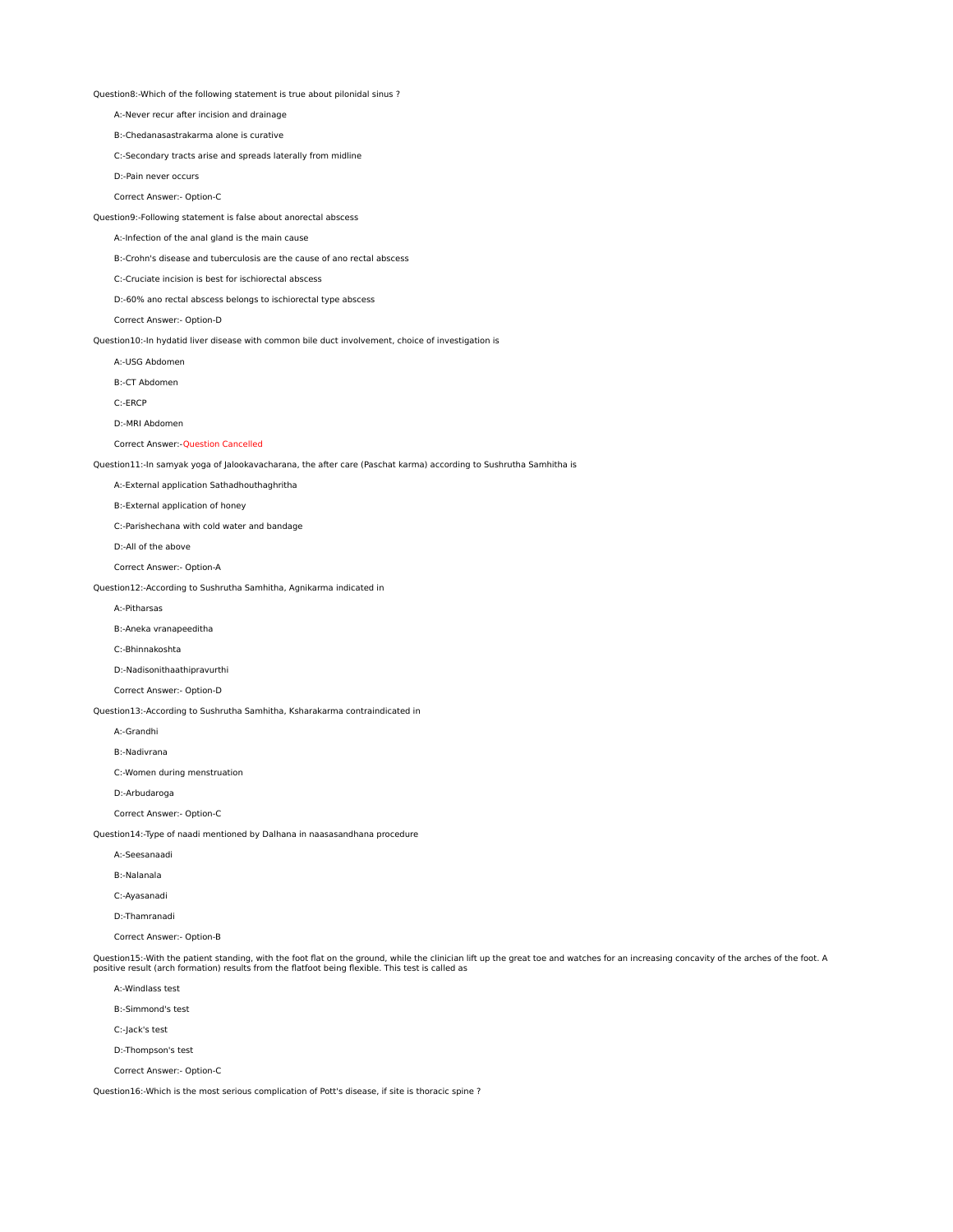Question8:-Which of the following statement is true about pilonidal sinus ?

A:-Never recur after incision and drainage

B:-Chedanasastrakarma alone is curative

C:-Secondary tracts arise and spreads laterally from midline

D:-Pain never occurs

Correct Answer:- Option-C

Question9:-Following statement is false about anorectal abscess

A:-Infection of the anal gland is the main cause

B:-Crohn's disease and tuberculosis are the cause of ano rectal abscess

C:-Cruciate incision is best for ischiorectal abscess

D:-60% ano rectal abscess belongs to ischiorectal type abscess

Correct Answer:- Option-D

Question10:-In hydatid liver disease with common bile duct involvement, choice of investigation is

A:-USG Abdomen

B:-CT Abdomen

C:-ERCP

D:-MRI Abdomen

Correct Answer:-Question Cancelled

Question11:-In samyak yoga of Jalookavacharana, the after care (Paschat karma) according to Sushrutha Samhitha is

A:-External application Sathadhouthaghritha

B:-External application of honey

C:-Parishechana with cold water and bandage

D:-All of the above

Correct Answer:- Option-A

Question12:-According to Sushrutha Samhitha, Agnikarma indicated in

A:-Pitharsas

B:-Aneka vranapeeditha

C:-Bhinnakoshta

D:-Nadisonithaathipravurthi

Correct Answer:- Option-D

Question13:-According to Sushrutha Samhitha, Ksharakarma contraindicated in

A:-Grandhi

B:-Nadivrana

C:-Women during menstruation

D:-Arbudaroga

Correct Answer:- Option-C

Question14:-Type of naadi mentioned by Dalhana in naasasandhana procedure

A:-Seesanaadi

B:-Nalanala

C:-Ayasanadi

D:-Thamranadi

Correct Answer:- Option-B

Question15:-With the patient standing, with the foot flat on the ground, while the clinician lift up the great toe and watches for an increasing concavity of the arches of the foot. A<br>positive result (arch formation) resul

A:-Windlass test

B:-Simmond's test

C:-Jack's test

D:-Thompson's test

Correct Answer:- Option-C

Question16:-Which is the most serious complication of Pott's disease, if site is thoracic spine ?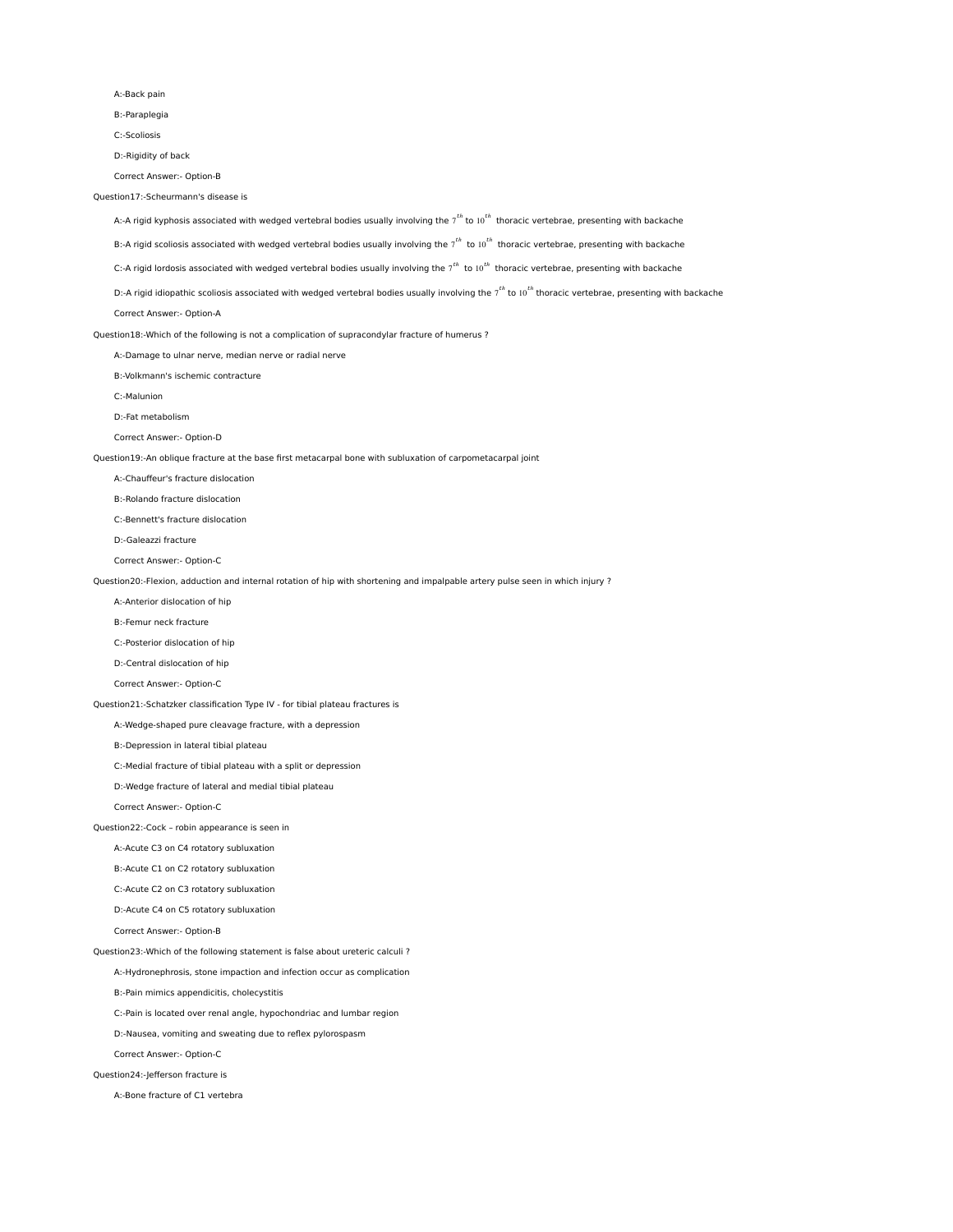A:-Back pain

B:-Paraplegia

C:-Scoliosis

D:-Rigidity of back

Correct Answer:- Option-B

Question17:-Scheurmann's disease is

A:-A rigid kyphosis associated with wedged vertebral bodies usually involving the  $7^{th}$  to  $10^{th}$  thoracic vertebrae, presenting with backache

B:-A rigid scoliosis associated with wedged vertebral bodies usually involving the  $7^{th}$  to 10 $^{th}$  thoracic vertebrae, presenting with backache

C:-A rigid lordosis associated with wedged vertebral bodies usually involving the  $7^{th}$  to 10 $^{th}$  thoracic vertebrae, presenting with backache

D:-A rigid idiopathic scoliosis associated with wedged vertebral bodies usually involving the  $7^{th}$  to 10<sup>th</sup> thoracic vertebrae, presenting with backache

Correct Answer:- Option-A

Question18:-Which of the following is not a complication of supracondylar fracture of humerus ?

A:-Damage to ulnar nerve, median nerve or radial nerve

B:-Volkmann's ischemic contracture

C:-Malunion

D:-Fat metabolism

Correct Answer:- Option-D

Question19:-An oblique fracture at the base first metacarpal bone with subluxation of carpometacarpal joint

A:-Chauffeur's fracture dislocation

B:-Rolando fracture dislocation

C:-Bennett's fracture dislocation

D:-Galeazzi fracture

Correct Answer:- Option-C

Question20:-Flexion, adduction and internal rotation of hip with shortening and impalpable artery pulse seen in which injury ?

A:-Anterior dislocation of hip

B:-Femur neck fracture

C:-Posterior dislocation of hip

D:-Central dislocation of hip

Correct Answer:- Option-C

Question21:-Schatzker classification Type IV - for tibial plateau fractures is

A:-Wedge-shaped pure cleavage fracture, with a depression

B:-Depression in lateral tibial plateau

C:-Medial fracture of tibial plateau with a split or depression

D:-Wedge fracture of lateral and medial tibial plateau

Correct Answer:- Option-C

Question22:-Cock – robin appearance is seen in

A:-Acute C3 on C4 rotatory subluxation

B:-Acute C1 on C2 rotatory subluxation

C:-Acute C2 on C3 rotatory subluxation

D:-Acute C4 on C5 rotatory subluxation

Correct Answer:- Option-B

Question23:-Which of the following statement is false about ureteric calculi ?

A:-Hydronephrosis, stone impaction and infection occur as complication

B:-Pain mimics appendicitis, cholecystitis

C:-Pain is located over renal angle, hypochondriac and lumbar region

D:-Nausea, vomiting and sweating due to reflex pylorospasm

Correct Answer:- Option-C

Question24:-Jefferson fracture is

A:-Bone fracture of C1 vertebra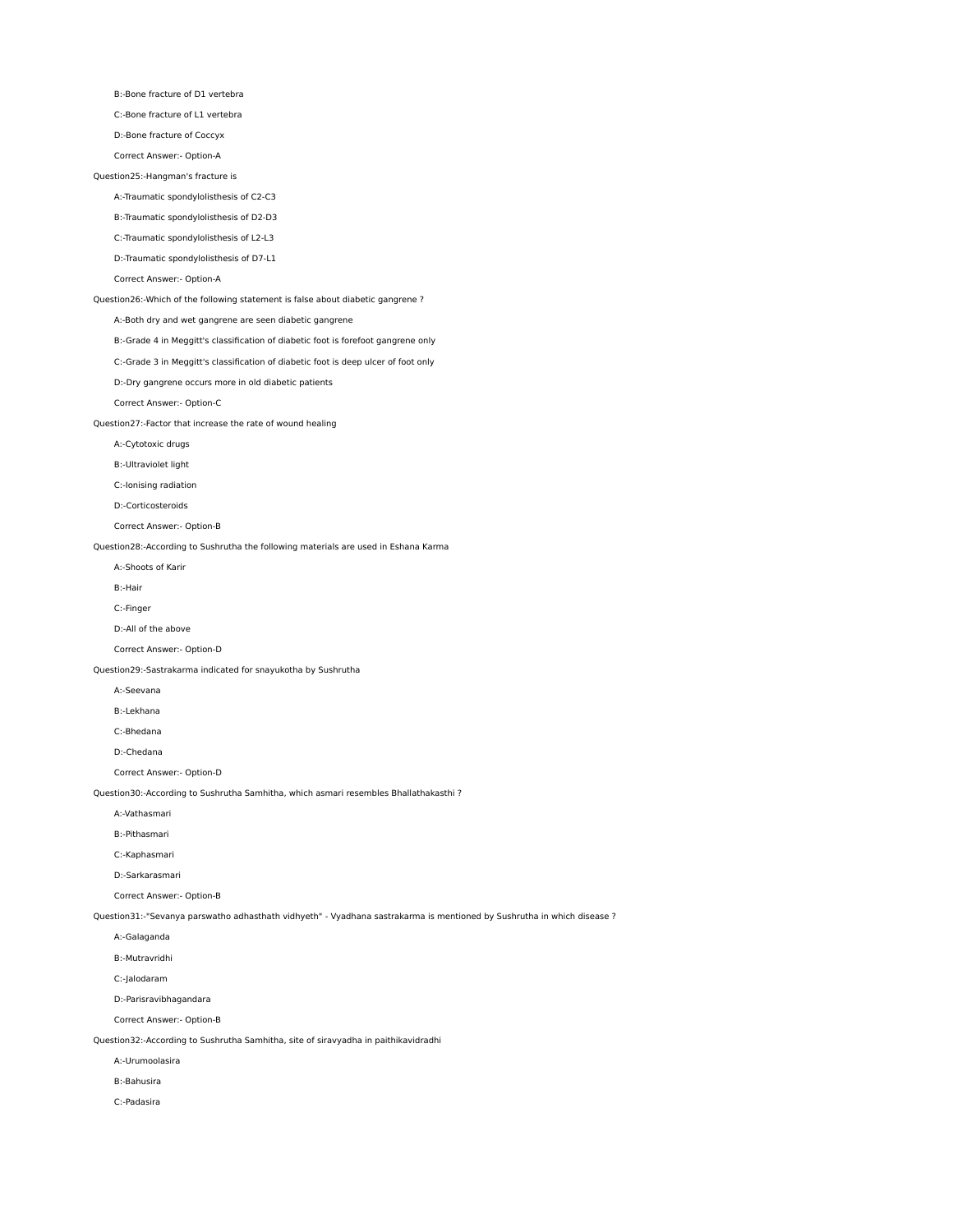B:-Bone fracture of D1 vertebra

C:-Bone fracture of L1 vertebra

D:-Bone fracture of Coccyx

Correct Answer:- Option-A

## Question25:-Hangman's fracture is

A:-Traumatic spondylolisthesis of C2-C3

B:-Traumatic spondylolisthesis of D2-D3

C:-Traumatic spondylolisthesis of L2-L3

D:-Traumatic spondylolisthesis of D7-L1

# Correct Answer:- Option-A

Question26:-Which of the following statement is false about diabetic gangrene ?

A:-Both dry and wet gangrene are seen diabetic gangrene

B:-Grade 4 in Meggitt's classification of diabetic foot is forefoot gangrene only

C:-Grade 3 in Meggitt's classification of diabetic foot is deep ulcer of foot only

D:-Dry gangrene occurs more in old diabetic patients

Correct Answer:- Option-C

Question27:-Factor that increase the rate of wound healing

A:-Cytotoxic drugs

B:-Ultraviolet light

C:-Ionising radiation

D:-Corticosteroids

Correct Answer:- Option-B

Question28:-According to Sushrutha the following materials are used in Eshana Karma

A:-Shoots of Karir

B:-Hair

C:-Finger

D:-All of the above

Correct Answer:- Option-D

Question29:-Sastrakarma indicated for snayukotha by Sushrutha

A:-Seevana

B:-Lekhana

C:-Bhedana

D:-Chedana

Correct Answer:- Option-D

Question30:-According to Sushrutha Samhitha, which asmari resembles Bhallathakasthi ?

A:-Vathasmari

B:-Pithasmari

C:-Kaphasmari

D:-Sarkarasmari

Correct Answer:- Option-B

Question31:-"Sevanya parswatho adhasthath vidhyeth" - Vyadhana sastrakarma is mentioned by Sushrutha in which disease ?

A:-Galaganda

B:-Mutravridhi

C:-Jalodaram

D:-Parisravibhagandara

Correct Answer:- Option-B

Question32:-According to Sushrutha Samhitha, site of siravyadha in paithikavidradhi

A:-Urumoolasira

B:-Bahusira

C:-Padasira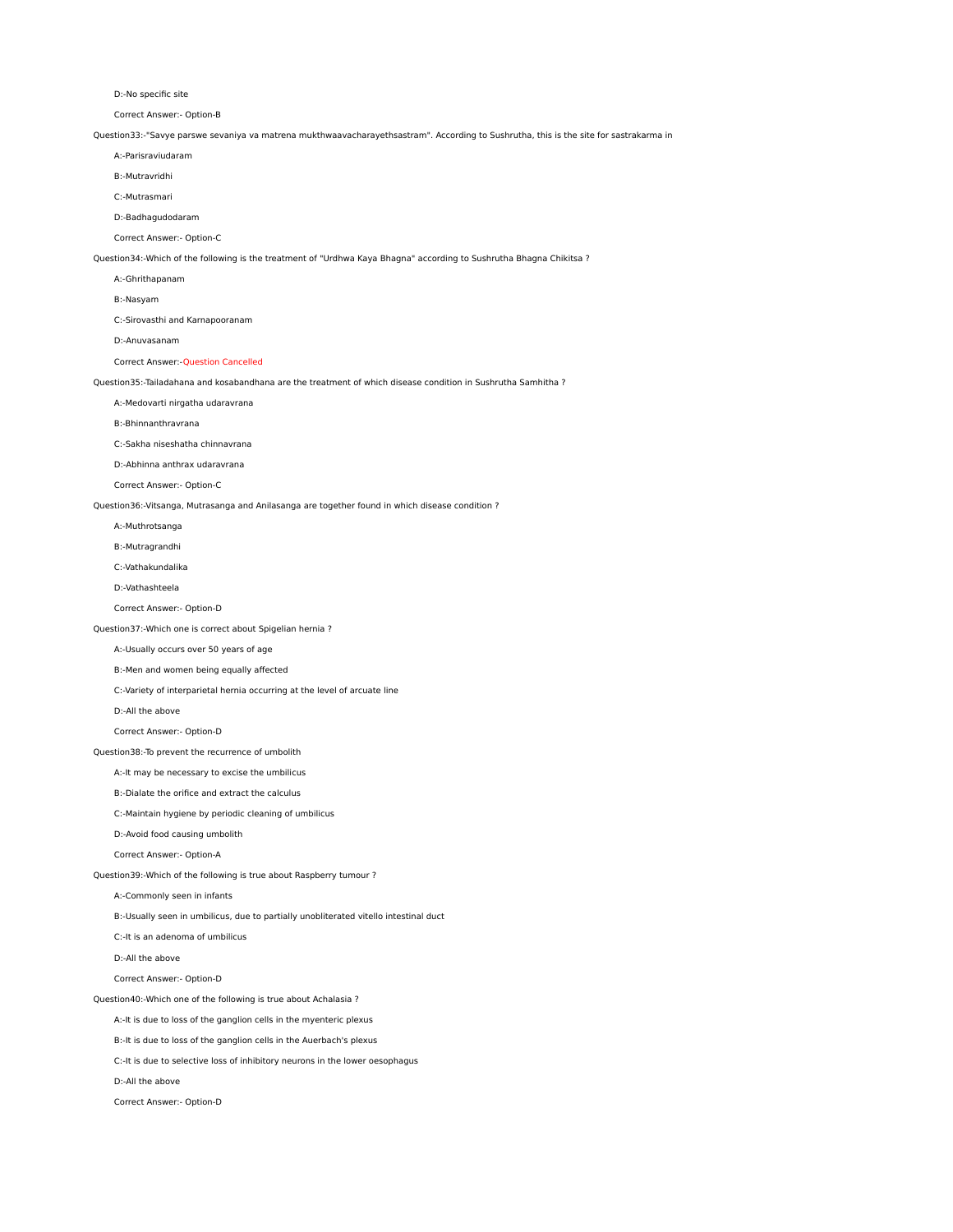D:-No specific site

Correct Answer:- Option-B

Question33:-"Savye parswe sevaniya va matrena mukthwaavacharayethsastram". According to Sushrutha, this is the site for sastrakarma in

A:-Parisraviudaram

B:-Mutravridhi

C:-Mutrasmari

D:-Badhagudodaram

Correct Answer:- Option-C

Question34:-Which of the following is the treatment of "Urdhwa Kaya Bhagna" according to Sushrutha Bhagna Chikitsa ?

- A:-Ghrithapanam
- B:-Nasyam

C:-Sirovasthi and Karnapooranam

D:-Anuvasanam

Correct Answer:-Question Cancelled

Question35:-Tailadahana and kosabandhana are the treatment of which disease condition in Sushrutha Samhitha ?

A:-Medovarti nirgatha udaravrana

B:-Bhinnanthravrana

C:-Sakha niseshatha chinnavrana

D:-Abhinna anthrax udaravrana

Correct Answer:- Option-C

Question36:-Vitsanga, Mutrasanga and Anilasanga are together found in which disease condition ?

A:-Muthrotsanga

B:-Mutragrandhi

C:-Vathakundalika

D:-Vathashteela

Correct Answer:- Option-D

Question37:-Which one is correct about Spigelian hernia ?

A:-Usually occurs over 50 years of age

B:-Men and women being equally affected

C:-Variety of interparietal hernia occurring at the level of arcuate line

D:-All the above

Correct Answer:- Option-D

Question38:-To prevent the recurrence of umbolith

A:-It may be necessary to excise the umbilicus

B:-Dialate the orifice and extract the calculus

C:-Maintain hygiene by periodic cleaning of umbilicus

D:-Avoid food causing umbolith

Correct Answer:- Option-A

Question39:-Which of the following is true about Raspberry tumour ?

A:-Commonly seen in infants

B:-Usually seen in umbilicus, due to partially unobliterated vitello intestinal duct

C:-It is an adenoma of umbilicus

D:-All the above

Correct Answer:- Option-D

Question40:-Which one of the following is true about Achalasia ?

A:-It is due to loss of the ganglion cells in the myenteric plexus

B:-It is due to loss of the ganglion cells in the Auerbach's plexus

C:-It is due to selective loss of inhibitory neurons in the lower oesophagus

D:-All the above

Correct Answer:- Option-D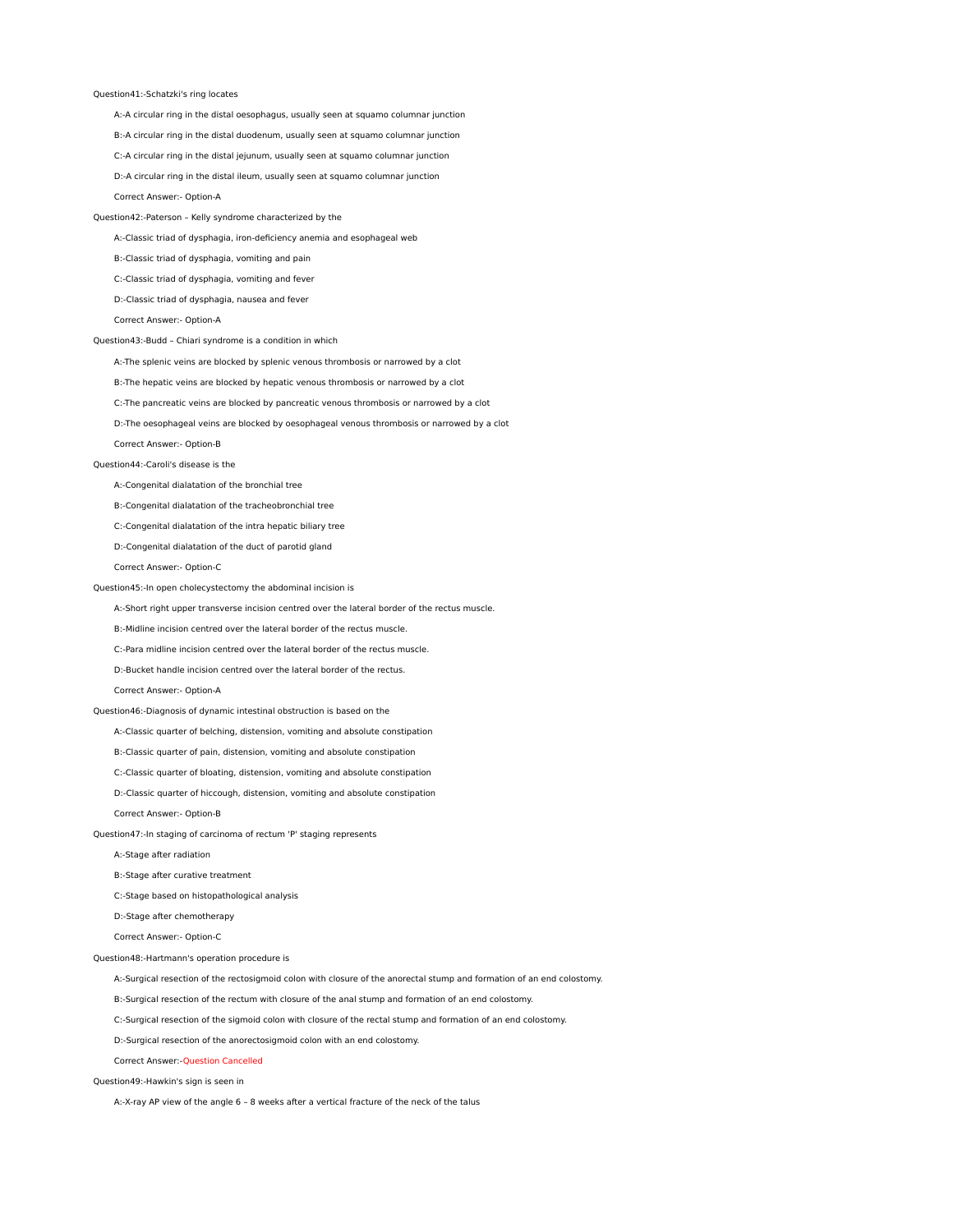## Question41:-Schatzki's ring locates

A:-A circular ring in the distal oesophagus, usually seen at squamo columnar junction

B:-A circular ring in the distal duodenum, usually seen at squamo columnar junction

C:-A circular ring in the distal jejunum, usually seen at squamo columnar junction

D:-A circular ring in the distal ileum, usually seen at squamo columnar junction

Correct Answer:- Option-A

Question42:-Paterson – Kelly syndrome characterized by the

A:-Classic triad of dysphagia, iron-deficiency anemia and esophageal web

B:-Classic triad of dysphagia, vomiting and pain

C:-Classic triad of dysphagia, vomiting and fever

D:-Classic triad of dysphagia, nausea and fever

Correct Answer:- Option-A

Question43:-Budd – Chiari syndrome is a condition in which

A:-The splenic veins are blocked by splenic venous thrombosis or narrowed by a clot

B:-The hepatic veins are blocked by hepatic venous thrombosis or narrowed by a clot

C:-The pancreatic veins are blocked by pancreatic venous thrombosis or narrowed by a clot

D:-The oesophageal veins are blocked by oesophageal venous thrombosis or narrowed by a clot

Correct Answer:- Option-B

## Question44:-Caroli's disease is the

A:-Congenital dialatation of the bronchial tree

B:-Congenital dialatation of the tracheobronchial tree

C:-Congenital dialatation of the intra hepatic biliary tree

D:-Congenital dialatation of the duct of parotid gland

Correct Answer:- Option-C

## Question45:-In open cholecystectomy the abdominal incision is

A:-Short right upper transverse incision centred over the lateral border of the rectus muscle.

B:-Midline incision centred over the lateral border of the rectus muscle.

C:-Para midline incision centred over the lateral border of the rectus muscle.

D:-Bucket handle incision centred over the lateral border of the rectus.

#### Correct Answer:- Option-A

## Question46:-Diagnosis of dynamic intestinal obstruction is based on the

A:-Classic quarter of belching, distension, vomiting and absolute constipation

B:-Classic quarter of pain, distension, vomiting and absolute constipation

C:-Classic quarter of bloating, distension, vomiting and absolute constipation

D:-Classic quarter of hiccough, distension, vomiting and absolute constipation

Correct Answer:- Option-B

Question47:-In staging of carcinoma of rectum 'P' staging represents

A:-Stage after radiation

B:-Stage after curative treatment

C:-Stage based on histopathological analysis

D:-Stage after chemotherapy

Correct Answer:- Option-C

Question48:-Hartmann's operation procedure is

A:-Surgical resection of the rectosigmoid colon with closure of the anorectal stump and formation of an end colostomy.

B:-Surgical resection of the rectum with closure of the anal stump and formation of an end colostomy.

C:-Surgical resection of the sigmoid colon with closure of the rectal stump and formation of an end colostomy.

D:-Surgical resection of the anorectosigmoid colon with an end colostomy.

Correct Answer:-Question Cancelled

Question49:-Hawkin's sign is seen in

A:-X-ray AP view of the angle 6 – 8 weeks after a vertical fracture of the neck of the talus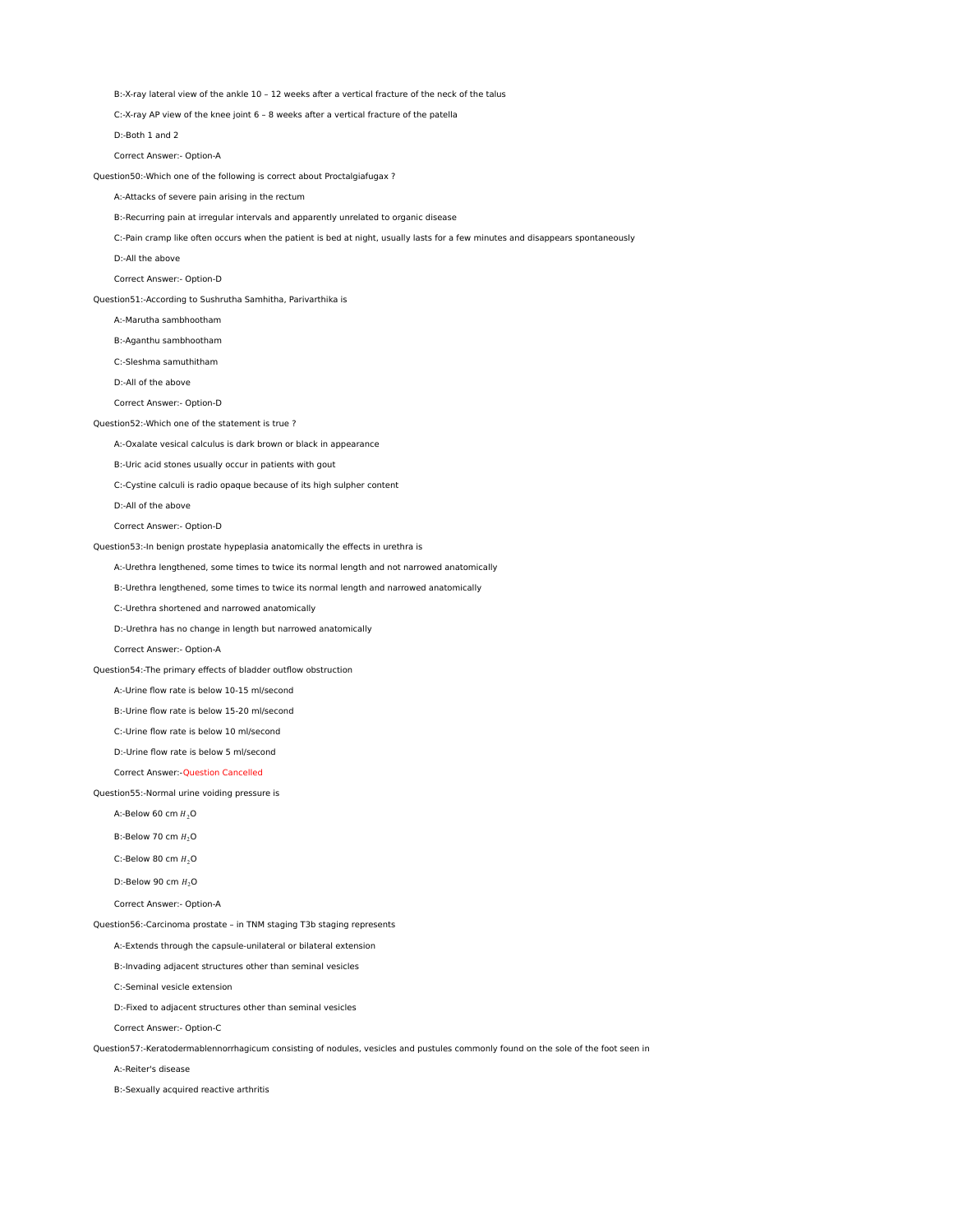B:-X-ray lateral view of the ankle 10 – 12 weeks after a vertical fracture of the neck of the talus

C:-X-ray AP view of the knee joint 6 – 8 weeks after a vertical fracture of the patella

D:-Both 1 and 2

Correct Answer:- Option-A

Question50:-Which one of the following is correct about Proctalgiafugax ?

## A:-Attacks of severe pain arising in the rectum

B:-Recurring pain at irregular intervals and apparently unrelated to organic disease

C:-Pain cramp like often occurs when the patient is bed at night, usually lasts for a few minutes and disappears spontaneously

D:-All the above

Correct Answer:- Option-D

Question51:-According to Sushrutha Samhitha, Parivarthika is

A:-Marutha sambhootham

B:-Aganthu sambhootham

C:-Sleshma samuthitham

D:-All of the above

Correct Answer:- Option-D

Question52:-Which one of the statement is true ?

A:-Oxalate vesical calculus is dark brown or black in appearance

B:-Uric acid stones usually occur in patients with gout

C:-Cystine calculi is radio opaque because of its high sulpher content

D:-All of the above

Correct Answer:- Option-D

Question53:-In benign prostate hypeplasia anatomically the effects in urethra is

A:-Urethra lengthened, some times to twice its normal length and not narrowed anatomically

B:-Urethra lengthened, some times to twice its normal length and narrowed anatomically

C:-Urethra shortened and narrowed anatomically

D:-Urethra has no change in length but narrowed anatomically

Correct Answer:- Option-A

Question54:-The primary effects of bladder outflow obstruction

A:-Urine flow rate is below 10-15 ml/second

B:-Urine flow rate is below 15-20 ml/second

C:-Urine flow rate is below 10 ml/second

D:-Urine flow rate is below 5 ml/second

Correct Answer:-Question Cancelled

Question55:-Normal urine voiding pressure is

A:-Below 60 cm  $H_2O$ 

B:-Below 70 cm  $H_2O$ 

C:-Below 80 cm  $H_2O$ 

D:-Below 90 cm  $H_2O$ 

Correct Answer:- Option-A

Question56:-Carcinoma prostate – in TNM staging T3b staging represents

A:-Extends through the capsule-unilateral or bilateral extension

B:-Invading adjacent structures other than seminal vesicles

C:-Seminal vesicle extension

D:-Fixed to adjacent structures other than seminal vesicles

Correct Answer:- Option-C

Question57:-Keratodermablennorrhagicum consisting of nodules, vesicles and pustules commonly found on the sole of the foot seen in

A:-Reiter's disease

B:-Sexually acquired reactive arthritis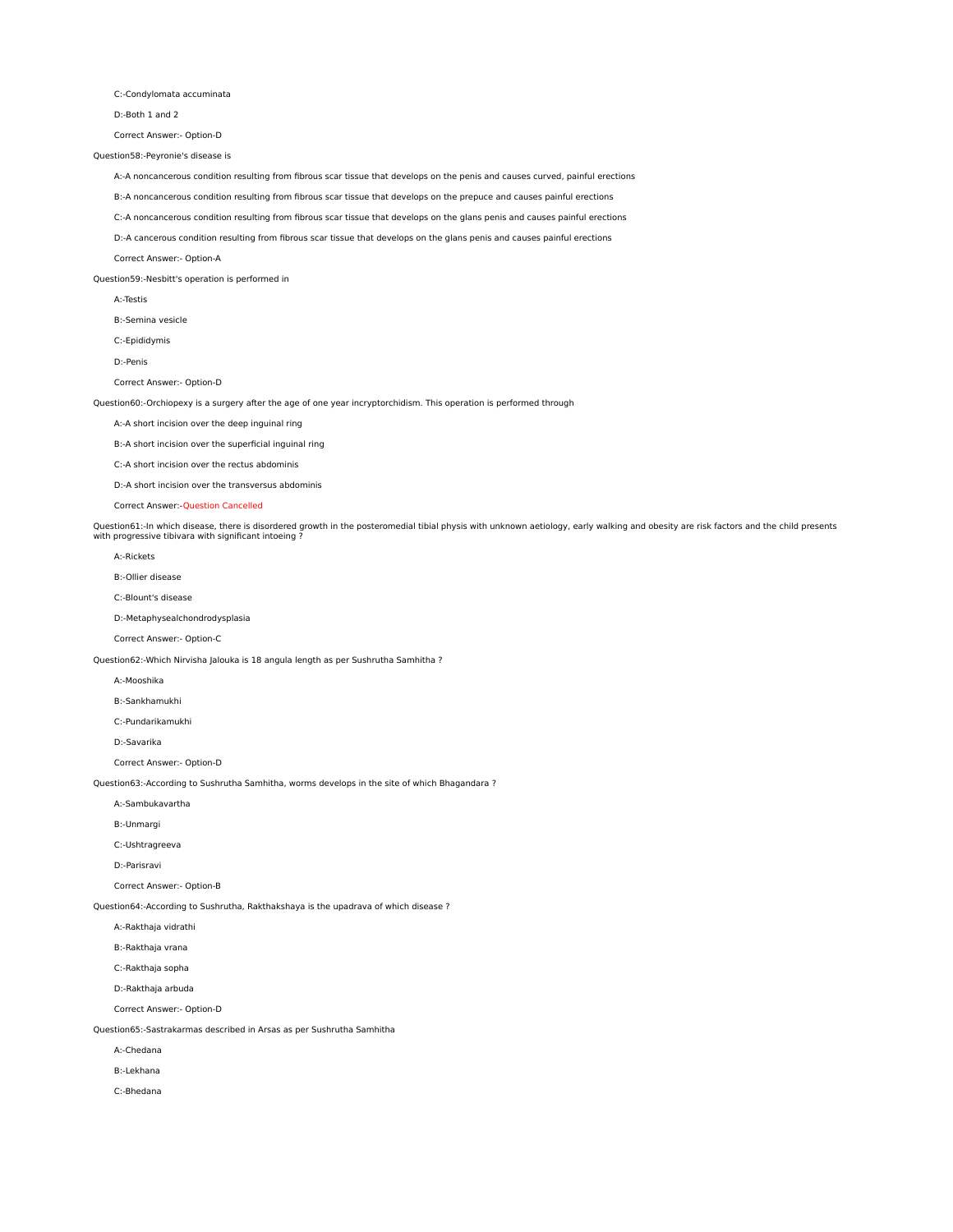C:-Condylomata accuminata

D:-Both 1 and 2

Correct Answer:- Option-D

## Question58:-Peyronie's disease is

A:-A noncancerous condition resulting from fibrous scar tissue that develops on the penis and causes curved, painful erections

B:-A noncancerous condition resulting from fibrous scar tissue that develops on the prepuce and causes painful erections

C:-A noncancerous condition resulting from fibrous scar tissue that develops on the glans penis and causes painful erections

D:-A cancerous condition resulting from fibrous scar tissue that develops on the glans penis and causes painful erections

Correct Answer:- Option-A

Question59:-Nesbitt's operation is performed in

A:-Testis

B:-Semina vesicle

C:-Epididymis

D:-Penis

Correct Answer:- Option-D

Question60:-Orchiopexy is a surgery after the age of one year incryptorchidism. This operation is performed through

A:-A short incision over the deep inguinal ring

B:-A short incision over the superficial inguinal ring

C:-A short incision over the rectus abdominis

D:-A short incision over the transversus abdominis

Correct Answer:-Question Cancelled

Question61:-In which disease, there is disordered growth in the posteromedial tibial physis with unknown aetiology, early walking and obesity are risk factors and the child presents<br>with progressive tibivara with significa

A:-Rickets

B:-Ollier disease

C:-Blount's disease

D:-Metaphysealchondrodysplasia

Correct Answer:- Option-C

Question62:-Which Nirvisha Jalouka is 18 angula length as per Sushrutha Samhitha ?

A:-Mooshika

B:-Sankhamukhi

C:-Pundarikamukhi

D:-Savarika

Correct Answer:- Option-D

Question63:-According to Sushrutha Samhitha, worms develops in the site of which Bhagandara ?

A:-Sambukavartha

B:-Unmargi

C:-Ushtragreeva

D:-Parisravi

Correct Answer:- Option-B

Question64:-According to Sushrutha, Rakthakshaya is the upadrava of which disease ?

A:-Rakthaja vidrathi

B:-Rakthaja vrana

C:-Rakthaja sopha

D:-Rakthaja arbuda

Correct Answer:- Option-D

Question65:-Sastrakarmas described in Arsas as per Sushrutha Samhitha

A:-Chedana

B:-Lekhana

C:-Bhedana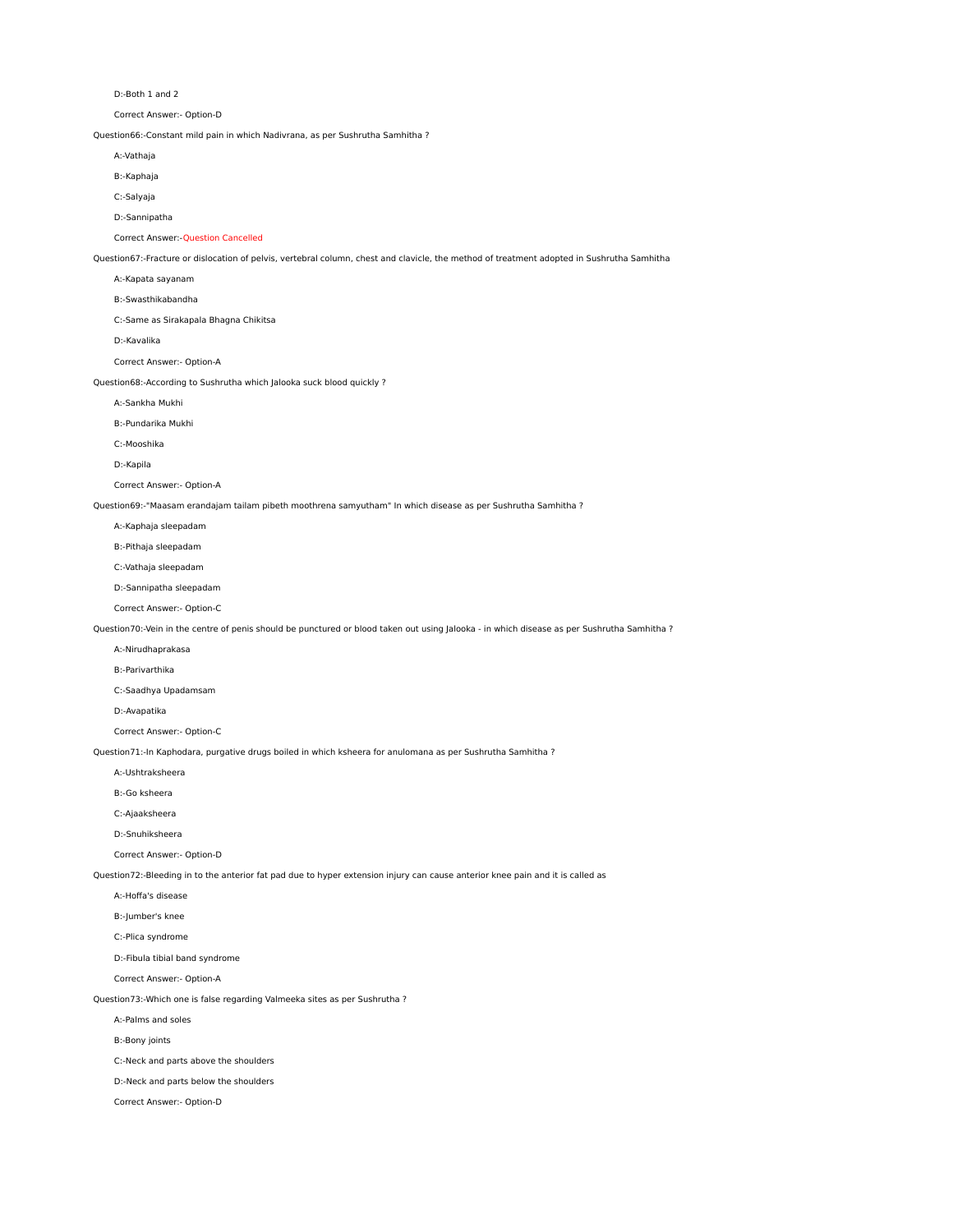D:-Both 1 and 2

Correct Answer:- Option-D

Question66:-Constant mild pain in which Nadivrana, as per Sushrutha Samhitha ?

A:-Vathaja

B:-Kaphaja

C:-Salyaja

D:-Sannipatha

Correct Answer:-Question Cancelled

Question67:-Fracture or dislocation of pelvis, vertebral column, chest and clavicle, the method of treatment adopted in Sushrutha Samhitha

A:-Kapata sayanam

B:-Swasthikabandha

C:-Same as Sirakapala Bhagna Chikitsa

D:-Kavalika

Correct Answer:- Option-A

Question68:-According to Sushrutha which Jalooka suck blood quickly ?

A:-Sankha Mukhi

B:-Pundarika Mukhi

C:-Mooshika

D:-Kapila

Correct Answer:- Option-A

Question69:-"Maasam erandajam tailam pibeth moothrena samyutham" In which disease as per Sushrutha Samhitha ?

A:-Kaphaja sleepadam

B:-Pithaja sleepadam

C:-Vathaja sleepadam

D:-Sannipatha sleepadam

Correct Answer:- Option-C

Question70:-Vein in the centre of penis should be punctured or blood taken out using Jalooka - in which disease as per Sushrutha Samhitha ?

A:-Nirudhaprakasa

B:-Parivarthika

C:-Saadhya Upadamsam

D:-Avapatika

Correct Answer:- Option-C

Question71:-In Kaphodara, purgative drugs boiled in which ksheera for anulomana as per Sushrutha Samhitha ?

A:-Ushtraksheera

B:-Go ksheera

C:-Ajaaksheera

D:-Snuhiksheera

Correct Answer:- Option-D

Question72:-Bleeding in to the anterior fat pad due to hyper extension injury can cause anterior knee pain and it is called as

A:-Hoffa's disease

B:-Jumber's knee

C:-Plica syndrome

D:-Fibula tibial band syndrome

Correct Answer:- Option-A

Question73:-Which one is false regarding Valmeeka sites as per Sushrutha ?

A:-Palms and soles

B:-Bony joints

C:-Neck and parts above the shoulders

D:-Neck and parts below the shoulders

Correct Answer:- Option-D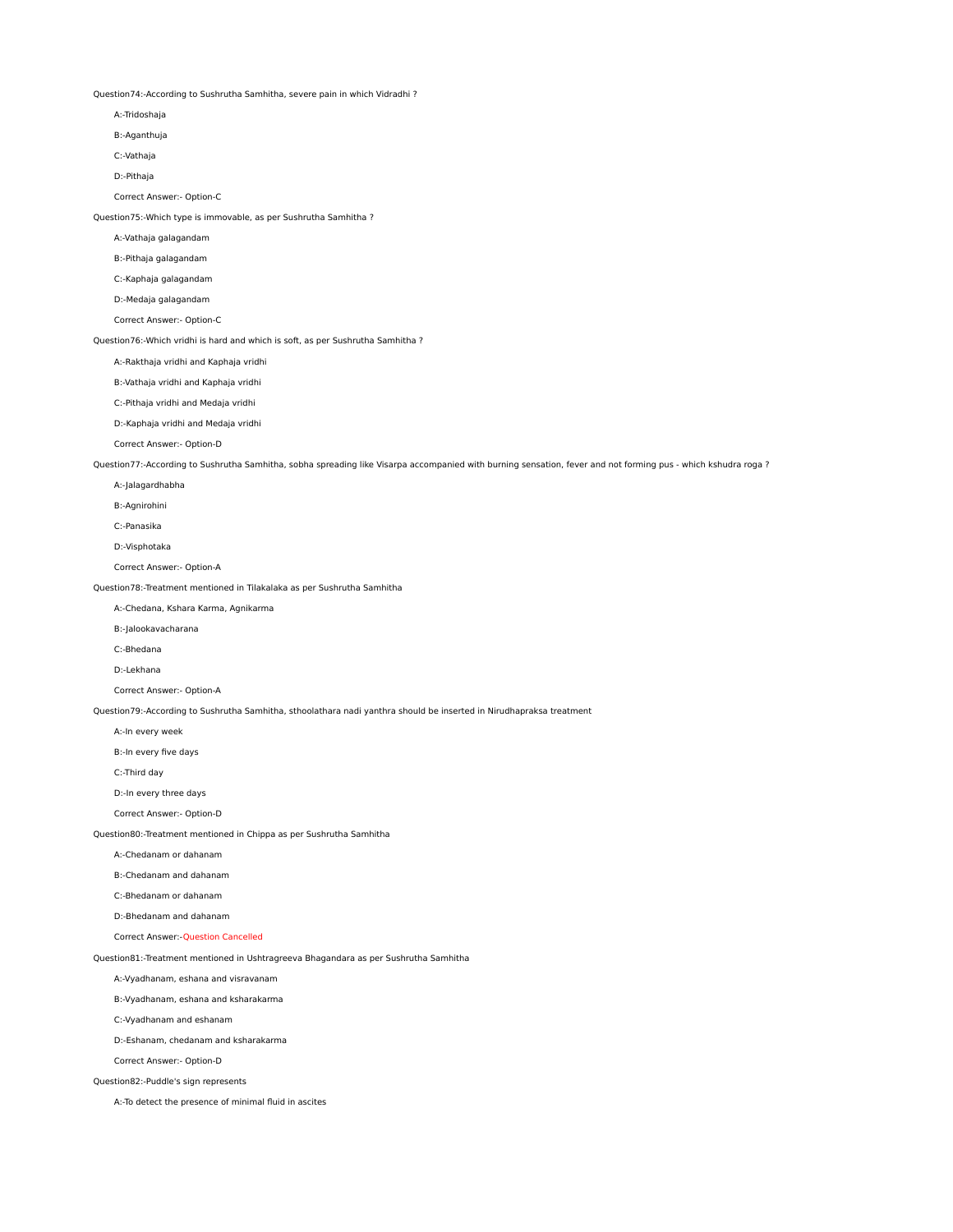Question74:-According to Sushrutha Samhitha, severe pain in which Vidradhi ?

- A:-Tridoshaja
- B:-Aganthuja
- C:-Vathaja
- D:-Pithaja

Correct Answer:- Option-C

Question75:-Which type is immovable, as per Sushrutha Samhitha ?

A:-Vathaja galagandam

B:-Pithaja galagandam

- C:-Kaphaja galagandam
- D:-Medaja galagandam
- Correct Answer:- Option-C

Question76:-Which vridhi is hard and which is soft, as per Sushrutha Samhitha ?

A:-Rakthaja vridhi and Kaphaja vridhi

B:-Vathaja vridhi and Kaphaja vridhi

C:-Pithaja vridhi and Medaja vridhi

D:-Kaphaja vridhi and Medaja vridhi

Correct Answer:- Option-D

Question77:-According to Sushrutha Samhitha, sobha spreading like Visarpa accompanied with burning sensation, fever and not forming pus - which kshudra roga ?

- A:-Jalagardhabha
- B:-Agnirohini
- C:-Panasika
- D:-Visphotaka
- Correct Answer:- Option-A

Question78:-Treatment mentioned in Tilakalaka as per Sushrutha Samhitha

A:-Chedana, Kshara Karma, Agnikarma

- B:-Jalookavacharana
- C:-Bhedana
- D:-Lekhana

Correct Answer:- Option-A

Question79:-According to Sushrutha Samhitha, sthoolathara nadi yanthra should be inserted in Nirudhapraksa treatment

- A:-In every week
- B:-In every five days

C:-Third day

D:-In every three days

Correct Answer:- Option-D

Question80:-Treatment mentioned in Chippa as per Sushrutha Samhitha

- A:-Chedanam or dahanam
- B:-Chedanam and dahanam
- C:-Bhedanam or dahanam
- D:-Bhedanam and dahanam
- Correct Answer:-Question Cancelled

Question81:-Treatment mentioned in Ushtragreeva Bhagandara as per Sushrutha Samhitha

A:-Vyadhanam, eshana and visravanam

B:-Vyadhanam, eshana and ksharakarma

C:-Vyadhanam and eshanam

D:-Eshanam, chedanam and ksharakarma

Correct Answer:- Option-D

Question82:-Puddle's sign represents

A:-To detect the presence of minimal fluid in ascites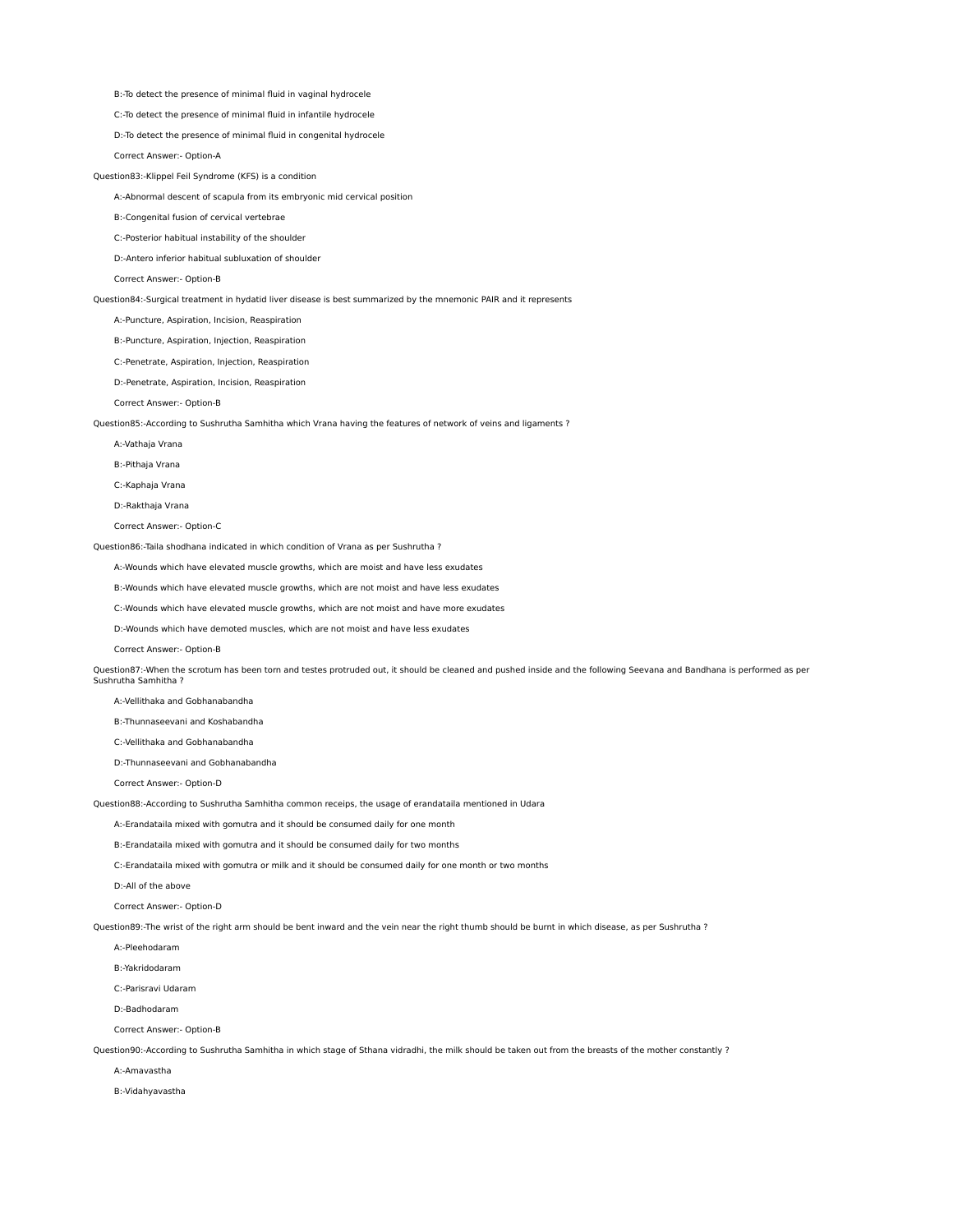B:-To detect the presence of minimal fluid in vaginal hydrocele

C:-To detect the presence of minimal fluid in infantile hydrocele

D:-To detect the presence of minimal fluid in congenital hydrocele

Correct Answer:- Option-A

Question83:-Klippel Feil Syndrome (KFS) is a condition

A:-Abnormal descent of scapula from its embryonic mid cervical position

B:-Congenital fusion of cervical vertebrae

C:-Posterior habitual instability of the shoulder

D:-Antero inferior habitual subluxation of shoulder

Correct Answer:- Option-B

Question84:-Surgical treatment in hydatid liver disease is best summarized by the mnemonic PAIR and it represents

A:-Puncture, Aspiration, Incision, Reaspiration

B:-Puncture, Aspiration, Injection, Reaspiration

C:-Penetrate, Aspiration, Injection, Reaspiration

D:-Penetrate, Aspiration, Incision, Reaspiration

Correct Answer:- Option-B

Question85:-According to Sushrutha Samhitha which Vrana having the features of network of veins and ligaments ?

A:-Vathaja Vrana

B:-Pithaja Vrana

C:-Kaphaja Vrana

D:-Rakthaja Vrana

Correct Answer:- Option-C

Question86:-Taila shodhana indicated in which condition of Vrana as per Sushrutha ?

A:-Wounds which have elevated muscle growths, which are moist and have less exudates

B:-Wounds which have elevated muscle growths, which are not moist and have less exudates

C:-Wounds which have elevated muscle growths, which are not moist and have more exudates

D:-Wounds which have demoted muscles, which are not moist and have less exudates

Correct Answer:- Option-B

Question87:-When the scrotum has been torn and testes protruded out, it should be cleaned and pushed inside and the following Seevana and Bandhana is performed as per Sushrutha Samhitha ?

A:-Vellithaka and Gobhanabandha

B:-Thunnaseevani and Koshabandha

C:-Vellithaka and Gobhanabandha

D:-Thunnaseevani and Gobhanabandha

Correct Answer:- Option-D

Question88:-According to Sushrutha Samhitha common receips, the usage of erandataila mentioned in Udara

A:-Erandataila mixed with gomutra and it should be consumed daily for one month

B:-Erandataila mixed with gomutra and it should be consumed daily for two months

C:-Erandataila mixed with gomutra or milk and it should be consumed daily for one month or two months

D:-All of the above

Correct Answer:- Option-D

Question89:-The wrist of the right arm should be bent inward and the vein near the right thumb should be burnt in which disease, as per Sushrutha ?

A:-Pleehodaram

B:-Yakridodaram

C:-Parisravi Udaram

D:-Badhodaram

Correct Answer:- Option-B

Question90:-According to Sushrutha Samhitha in which stage of Sthana vidradhi, the milk should be taken out from the breasts of the mother constantly ?

A:-Amavastha

B:-Vidahyavastha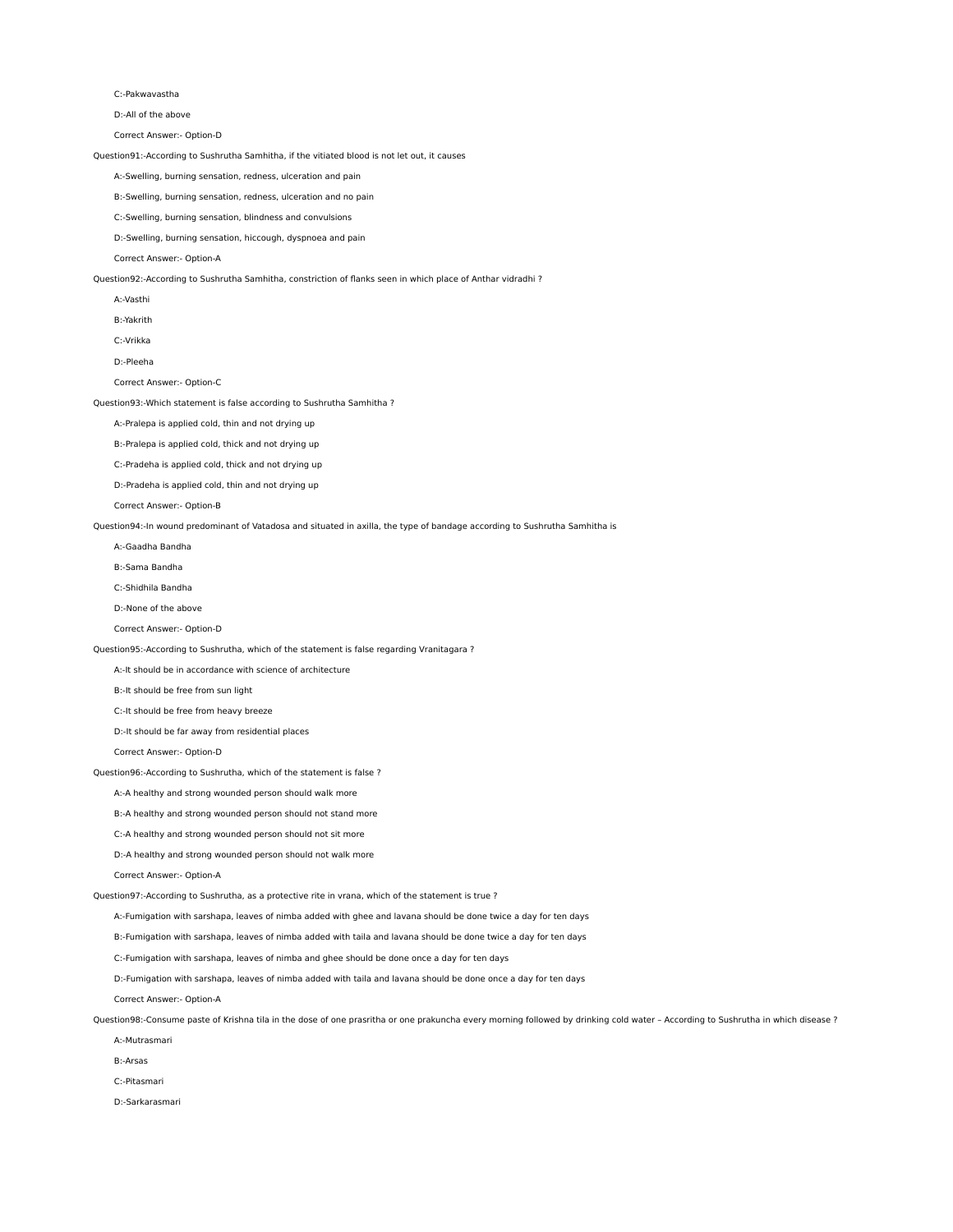## C:-Pakwavastha

D:-All of the above

Correct Answer:- Option-D

Question91:-According to Sushrutha Samhitha, if the vitiated blood is not let out, it causes

A:-Swelling, burning sensation, redness, ulceration and pain

B:-Swelling, burning sensation, redness, ulceration and no pain

C:-Swelling, burning sensation, blindness and convulsions

D:-Swelling, burning sensation, hiccough, dyspnoea and pain

Correct Answer:- Option-A

Question92:-According to Sushrutha Samhitha, constriction of flanks seen in which place of Anthar vidradhi ?

A:-Vasthi

B:-Yakrith

C:-Vrikka

D:-Pleeha

Correct Answer:- Option-C

Question93:-Which statement is false according to Sushrutha Samhitha ?

A:-Pralepa is applied cold, thin and not drying up

B:-Pralepa is applied cold, thick and not drying up

C:-Pradeha is applied cold, thick and not drying up

D:-Pradeha is applied cold, thin and not drying up

Correct Answer:- Option-B

Question94:-In wound predominant of Vatadosa and situated in axilla, the type of bandage according to Sushrutha Samhitha is

A:-Gaadha Bandha

B:-Sama Bandha

C:-Shidhila Bandha

D:-None of the above

Correct Answer:- Option-D

Question95:-According to Sushrutha, which of the statement is false regarding Vranitagara ?

A:-It should be in accordance with science of architecture

B:-It should be free from sun light

C:-It should be free from heavy breeze

D:-It should be far away from residential places

Correct Answer:- Option-D

Question96:-According to Sushrutha, which of the statement is false ?

A:-A healthy and strong wounded person should walk more

B:-A healthy and strong wounded person should not stand more

C:-A healthy and strong wounded person should not sit more

D:-A healthy and strong wounded person should not walk more

Correct Answer:- Option-A

Question97:-According to Sushrutha, as a protective rite in vrana, which of the statement is true ?

A:-Fumigation with sarshapa, leaves of nimba added with ghee and lavana should be done twice a day for ten days

B:-Fumigation with sarshapa, leaves of nimba added with taila and lavana should be done twice a day for ten days

C:-Fumigation with sarshapa, leaves of nimba and ghee should be done once a day for ten days

D:-Fumigation with sarshapa, leaves of nimba added with taila and lavana should be done once a day for ten days

Correct Answer:- Option-A

Question98:-Consume paste of Krishna tila in the dose of one prasritha or one prakuncha every morning followed by drinking cold water - According to Sushrutha in which disease ?

A:-Mutrasmari

B:-Arsas

C:-Pitasmari

D:-Sarkarasmari